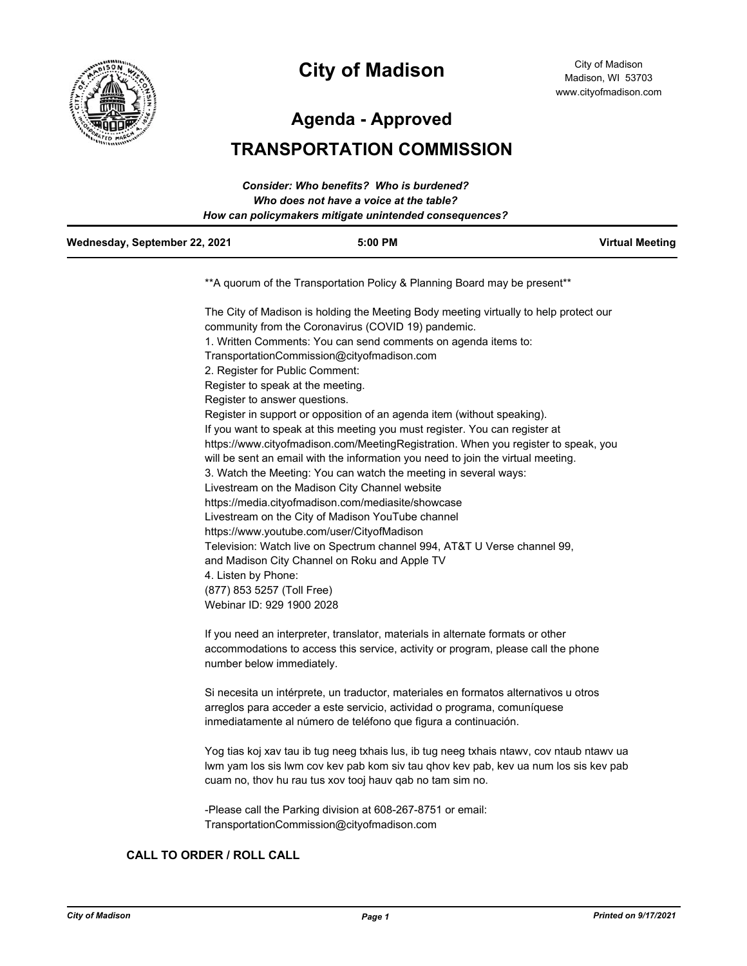

# **City of Madison**

City of Madison Madison, WI 53703 www.cityofmadison.com

**Agenda - Approved**

# **TRANSPORTATION COMMISSION**

|                               | Consider: Who benefits? Who is burdened?               |                        |
|-------------------------------|--------------------------------------------------------|------------------------|
|                               | Who does not have a voice at the table?                |                        |
|                               | How can policymakers mitigate unintended consequences? |                        |
| Wednesday, September 22, 2021 | $5:00$ PM                                              | <b>Virtual Meeting</b> |
|                               |                                                        |                        |

\*\*A quorum of the Transportation Policy & Planning Board may be present\*\*

The City of Madison is holding the Meeting Body meeting virtually to help protect our community from the Coronavirus (COVID 19) pandemic. 1. Written Comments: You can send comments on agenda items to: TransportationCommission@cityofmadison.com 2. Register for Public Comment: Register to speak at the meeting. Register to answer questions. Register in support or opposition of an agenda item (without speaking). If you want to speak at this meeting you must register. You can register at https://www.cityofmadison.com/MeetingRegistration. When you register to speak, you will be sent an email with the information you need to join the virtual meeting. 3. Watch the Meeting: You can watch the meeting in several ways: Livestream on the Madison City Channel website https://media.cityofmadison.com/mediasite/showcase Livestream on the City of Madison YouTube channel https://www.youtube.com/user/CityofMadison Television: Watch live on Spectrum channel 994, AT&T U Verse channel 99, and Madison City Channel on Roku and Apple TV 4. Listen by Phone: (877) 853 5257 (Toll Free) Webinar ID: 929 1900 2028

If you need an interpreter, translator, materials in alternate formats or other accommodations to access this service, activity or program, please call the phone number below immediately.

Si necesita un intérprete, un traductor, materiales en formatos alternativos u otros arreglos para acceder a este servicio, actividad o programa, comuníquese inmediatamente al número de teléfono que figura a continuación.

Yog tias koj xav tau ib tug neeg txhais lus, ib tug neeg txhais ntawv, cov ntaub ntawv ua lwm yam los sis lwm cov kev pab kom siv tau qhov kev pab, kev ua num los sis kev pab cuam no, thov hu rau tus xov tooj hauv qab no tam sim no.

-Please call the Parking division at 608-267-8751 or email: TransportationCommission@cityofmadison.com

## **CALL TO ORDER / ROLL CALL**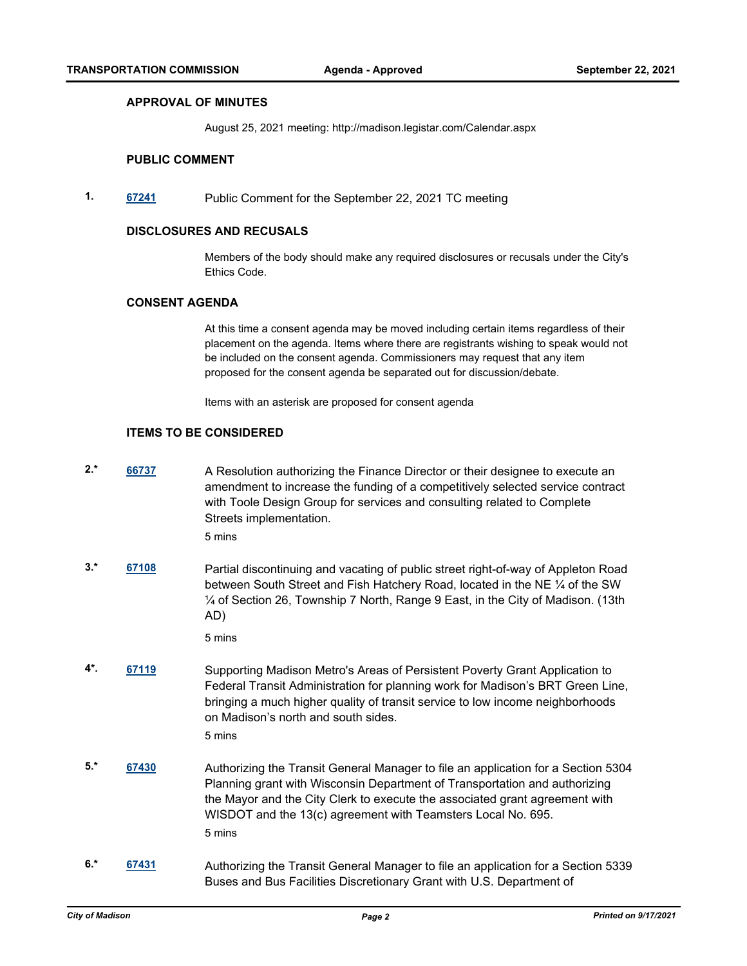#### **APPROVAL OF MINUTES**

August 25, 2021 meeting: http://madison.legistar.com/Calendar.aspx

#### **PUBLIC COMMENT**

**1. [67241](http://madison.legistar.com/gateway.aspx?m=l&id=/matter.aspx?key=79212)** Public Comment for the September 22, 2021 TC meeting

#### **DISCLOSURES AND RECUSALS**

Members of the body should make any required disclosures or recusals under the City's Ethics Code.

#### **CONSENT AGENDA**

At this time a consent agenda may be moved including certain items regardless of their placement on the agenda. Items where there are registrants wishing to speak would not be included on the consent agenda. Commissioners may request that any item proposed for the consent agenda be separated out for discussion/debate.

Items with an asterisk are proposed for consent agenda

#### **ITEMS TO BE CONSIDERED**

2.<sup>\*</sup> [66737](http://madison.legistar.com/gateway.aspx?m=l&id=/matter.aspx?key=78793) A Resolution authorizing the Finance Director or their designee to execute an amendment to increase the funding of a competitively selected service contract with Toole Design Group for services and consulting related to Complete Streets implementation.

5 mins

**3.\* [67108](http://madison.legistar.com/gateway.aspx?m=l&id=/matter.aspx?key=79107)** Partial discontinuing and vacating of public street right-of-way of Appleton Road between South Street and Fish Hatchery Road, located in the NE ¼ of the SW ¼ of Section 26, Township 7 North, Range 9 East, in the City of Madison. (13th AD)

5 mins

- **4\*. [67119](http://madison.legistar.com/gateway.aspx?m=l&id=/matter.aspx?key=79115)** Supporting Madison Metro's Areas of Persistent Poverty Grant Application to Federal Transit Administration for planning work for Madison's BRT Green Line, bringing a much higher quality of transit service to low income neighborhoods on Madison's north and south sides. 5 mins
- **5.\* [67430](http://madison.legistar.com/gateway.aspx?m=l&id=/matter.aspx?key=79339)** Authorizing the Transit General Manager to file an application for a Section 5304 Planning grant with Wisconsin Department of Transportation and authorizing the Mayor and the City Clerk to execute the associated grant agreement with WISDOT and the 13(c) agreement with Teamsters Local No. 695. 5 mins
- **6.\* [67431](http://madison.legistar.com/gateway.aspx?m=l&id=/matter.aspx?key=79340)** Authorizing the Transit General Manager to file an application for a Section 5339 Buses and Bus Facilities Discretionary Grant with U.S. Department of